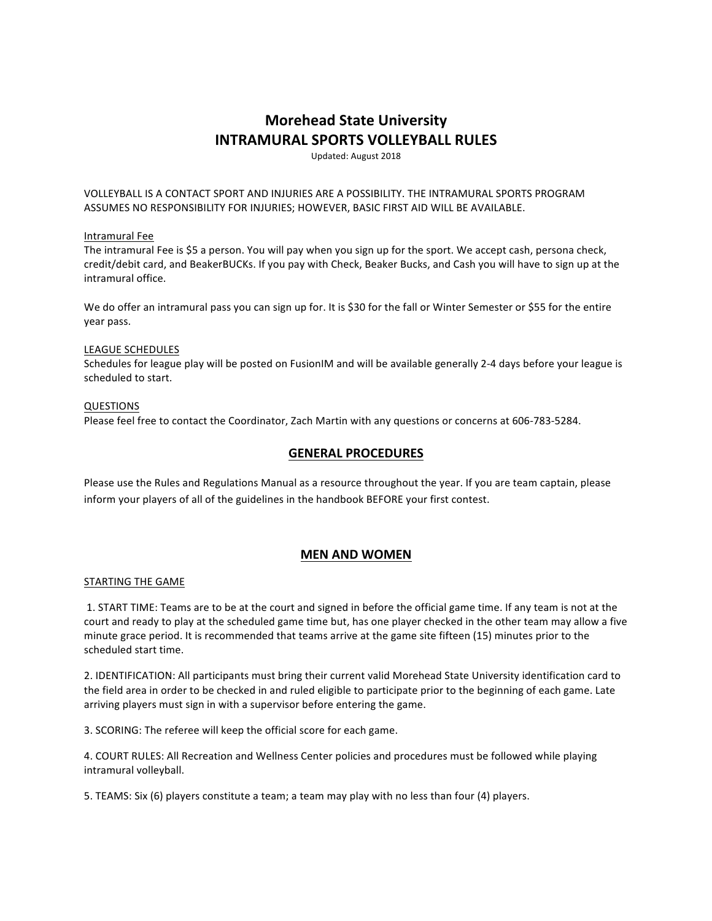# **Morehead State University INTRAMURAL SPORTS VOLLEYBALL RULES**

Updated: August 2018

VOLLEYBALL IS A CONTACT SPORT AND INJURIES ARE A POSSIBILITY. THE INTRAMURAL SPORTS PROGRAM ASSUMES NO RESPONSIBILITY FOR INJURIES; HOWEVER, BASIC FIRST AID WILL BE AVAILABLE.

## Intramural Fee

The intramural Fee is \$5 a person. You will pay when you sign up for the sport. We accept cash, persona check, credit/debit card, and BeakerBUCKs. If you pay with Check, Beaker Bucks, and Cash you will have to sign up at the intramural office.

We do offer an intramural pass you can sign up for. It is \$30 for the fall or Winter Semester or \$55 for the entire year pass.

## LEAGUE SCHEDULES

Schedules for league play will be posted on FusionIM and will be available generally 2-4 days before your league is scheduled to start.

## QUESTIONS

Please feel free to contact the Coordinator, Zach Martin with any questions or concerns at 606-783-5284.

## **GENERAL PROCEDURES**

Please use the Rules and Regulations Manual as a resource throughout the year. If you are team captain, please inform your players of all of the guidelines in the handbook BEFORE your first contest.

## **MEN AND WOMEN**

### STARTING THE GAME

1. START TIME: Teams are to be at the court and signed in before the official game time. If any team is not at the court and ready to play at the scheduled game time but, has one player checked in the other team may allow a five minute grace period. It is recommended that teams arrive at the game site fifteen (15) minutes prior to the scheduled start time.

2. IDENTIFICATION: All participants must bring their current valid Morehead State University identification card to the field area in order to be checked in and ruled eligible to participate prior to the beginning of each game. Late arriving players must sign in with a supervisor before entering the game.

3. SCORING: The referee will keep the official score for each game.

4. COURT RULES: All Recreation and Wellness Center policies and procedures must be followed while playing intramural volleyball.

5. TEAMS: Six (6) players constitute a team; a team may play with no less than four (4) players.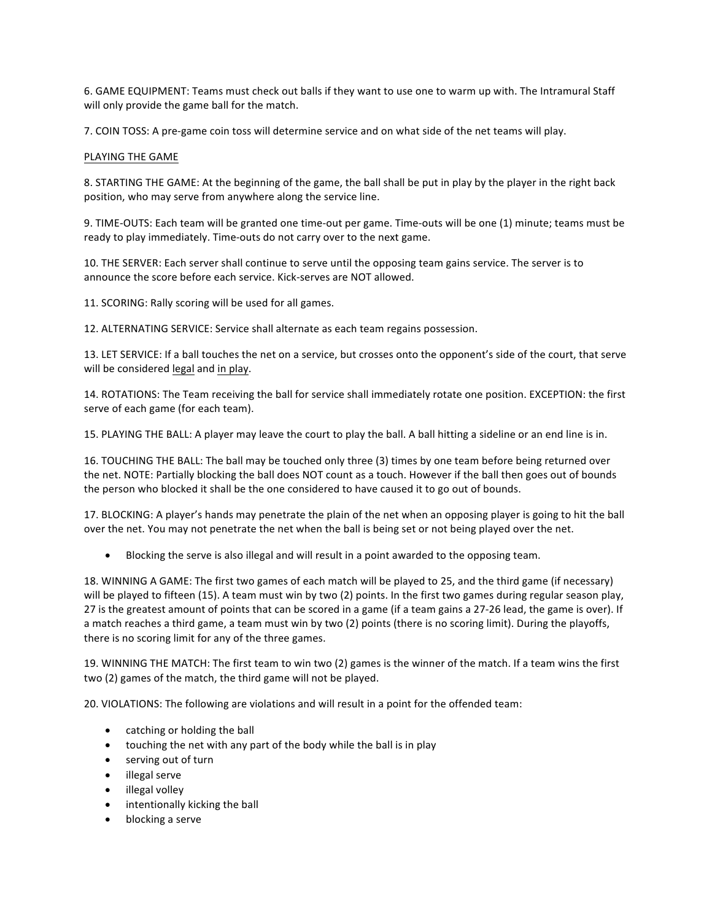6. GAME EQUIPMENT: Teams must check out balls if they want to use one to warm up with. The Intramural Staff will only provide the game ball for the match.

7. COIN TOSS: A pre-game coin toss will determine service and on what side of the net teams will play.

## PLAYING THE GAME

8. STARTING THE GAME: At the beginning of the game, the ball shall be put in play by the player in the right back position, who may serve from anywhere along the service line.

9. TIME-OUTS: Each team will be granted one time-out per game. Time-outs will be one (1) minute; teams must be ready to play immediately. Time-outs do not carry over to the next game.

10. THE SERVER: Each server shall continue to serve until the opposing team gains service. The server is to announce the score before each service. Kick-serves are NOT allowed.

11. SCORING: Rally scoring will be used for all games.

12. ALTERNATING SERVICE: Service shall alternate as each team regains possession.

13. LET SERVICE: If a ball touches the net on a service, but crosses onto the opponent's side of the court, that serve will be considered legal and in play.

14. ROTATIONS: The Team receiving the ball for service shall immediately rotate one position. EXCEPTION: the first serve of each game (for each team).

15. PLAYING THE BALL: A player may leave the court to play the ball. A ball hitting a sideline or an end line is in.

16. TOUCHING THE BALL: The ball may be touched only three (3) times by one team before being returned over the net. NOTE: Partially blocking the ball does NOT count as a touch. However if the ball then goes out of bounds the person who blocked it shall be the one considered to have caused it to go out of bounds.

17. BLOCKING: A player's hands may penetrate the plain of the net when an opposing player is going to hit the ball over the net. You may not penetrate the net when the ball is being set or not being played over the net.

Blocking the serve is also illegal and will result in a point awarded to the opposing team.

18. WINNING A GAME: The first two games of each match will be played to 25, and the third game (if necessary) will be played to fifteen (15). A team must win by two (2) points. In the first two games during regular season play, 27 is the greatest amount of points that can be scored in a game (if a team gains a 27-26 lead, the game is over). If a match reaches a third game, a team must win by two (2) points (there is no scoring limit). During the playoffs, there is no scoring limit for any of the three games.

19. WINNING THE MATCH: The first team to win two (2) games is the winner of the match. If a team wins the first two (2) games of the match, the third game will not be played.

20. VIOLATIONS: The following are violations and will result in a point for the offended team:

- catching or holding the ball
- touching the net with any part of the body while the ball is in play
- serving out of turn
- illegal serve
- illegal volley
- intentionally kicking the ball
- blocking a serve